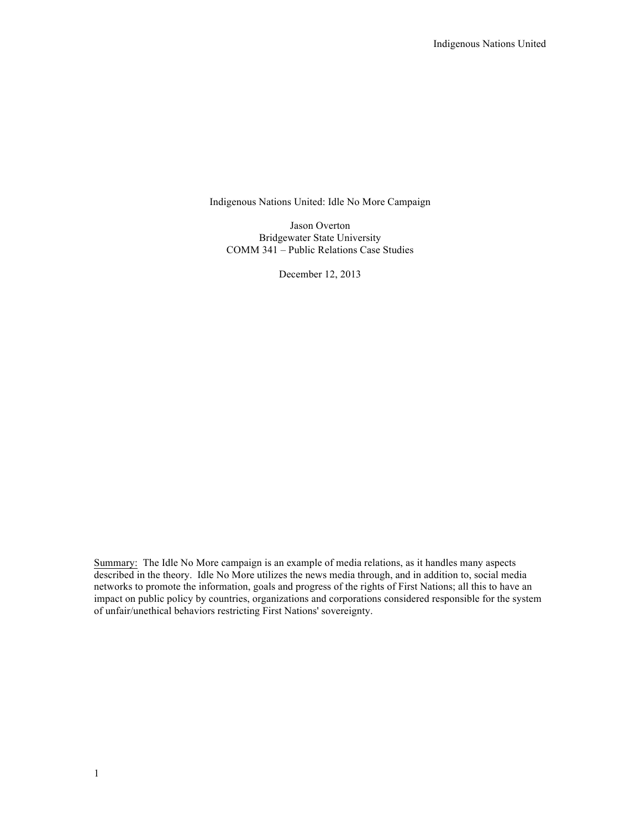Indigenous Nations United: Idle No More Campaign

Jason Overton Bridgewater State University COMM 341 – Public Relations Case Studies

December 12, 2013

Summary: The Idle No More campaign is an example of media relations, as it handles many aspects described in the theory. Idle No More utilizes the news media through, and in addition to, social media networks to promote the information, goals and progress of the rights of First Nations; all this to have an impact on public policy by countries, organizations and corporations considered responsible for the system of unfair/unethical behaviors restricting First Nations' sovereignty.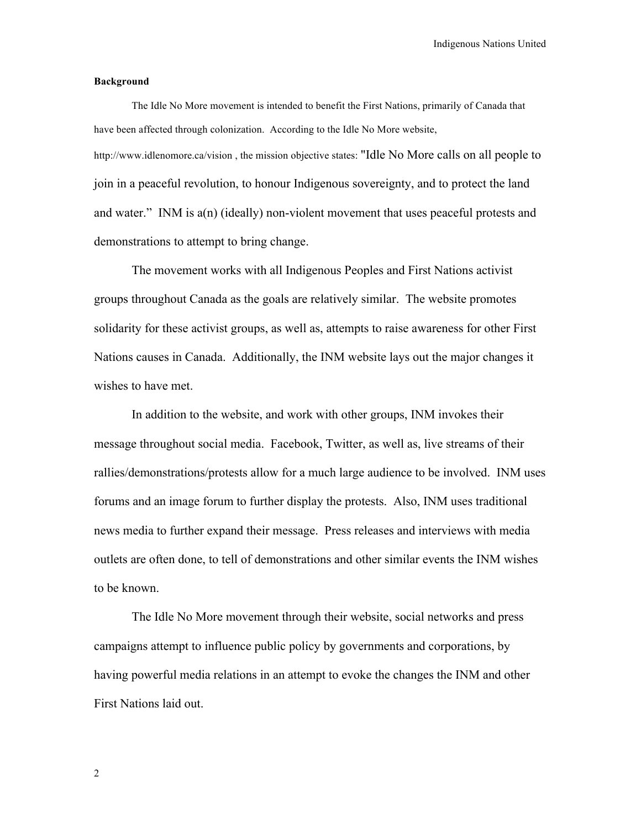Indigenous Nations United

## **Background**

The Idle No More movement is intended to benefit the First Nations, primarily of Canada that have been affected through colonization. According to the Idle No More website, http://www.idlenomore.ca/vision, the mission objective states: "Idle No More calls on all people to join in a peaceful revolution, to honour Indigenous sovereignty, and to protect the land and water." INM is a(n) (ideally) non-violent movement that uses peaceful protests and demonstrations to attempt to bring change.

The movement works with all Indigenous Peoples and First Nations activist groups throughout Canada as the goals are relatively similar. The website promotes solidarity for these activist groups, as well as, attempts to raise awareness for other First Nations causes in Canada. Additionally, the INM website lays out the major changes it wishes to have met.

In addition to the website, and work with other groups, INM invokes their message throughout social media. Facebook, Twitter, as well as, live streams of their rallies/demonstrations/protests allow for a much large audience to be involved. INM uses forums and an image forum to further display the protests. Also, INM uses traditional news media to further expand their message. Press releases and interviews with media outlets are often done, to tell of demonstrations and other similar events the INM wishes to be known.

The Idle No More movement through their website, social networks and press campaigns attempt to influence public policy by governments and corporations, by having powerful media relations in an attempt to evoke the changes the INM and other First Nations laid out.

2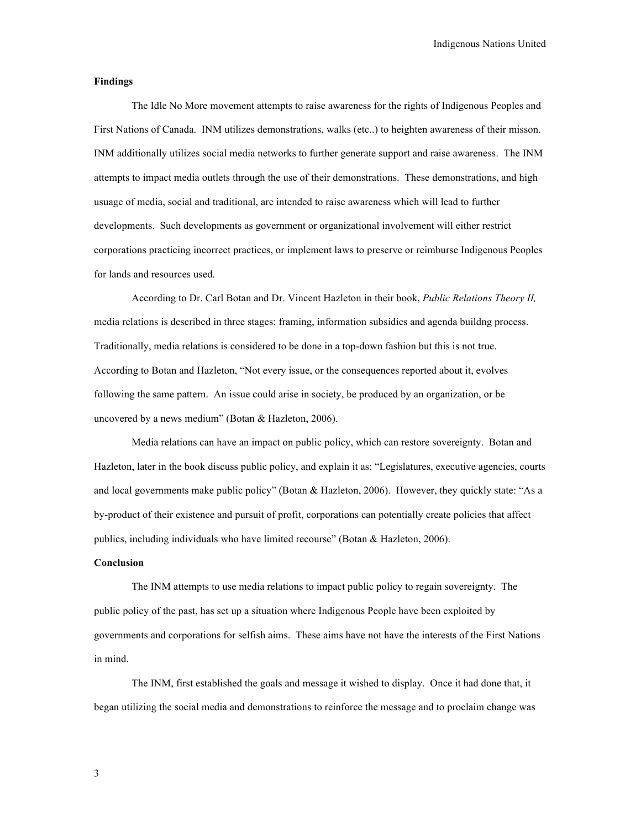## **Findings**

The Idle No More movement attempts to raise awareness for the rights of Indigenous Peoples and First Nations of Canada. INM utilizes demonstrations, walks (etc..) to heighten awareness of their misson. INM additionally utilizes social media networks to further generate support and raise awareness. The INM attempts to impact media outlets through the use of their demonstrations. These demonstrations, and high usuage of media, social and traditional, are intended to raise awareness which will lead to further developments. Such developments as government or organizational involvement will either restrict corporations practicing incorrect practices, or implement laws to preserve or reimburse Indigenous Peoples for lands and resources used.

According to Dr. Carl Botan and Dr. Vincent Hazleton in their book, *Public Relations Theory II,*  media relations is described in three stages: framing, information subsidies and agenda buildng process. Traditionally, media relations is considered to be done in a top-down fashion but this is not true. According to Botan and Hazleton, "Not every issue, or the consequences reported about it, evolves following the same pattern. An issue could arise in society, be produced by an organization, or be uncovered by a news medium" (Botan & Hazleton, 2006).

Media relations can have an impact on public policy, which can restore sovereignty. Botan and Hazleton, later in the book discuss public policy, and explain it as: "Legislatures, executive agencies, courts and local governments make public policy" (Botan & Hazleton, 2006). However, they quickly state: "As a by-product of their existence and pursuit of profit, corporations can potentially create policies that affect publics, including individuals who have limited recourse" (Botan  $&$  Hazleton, 2006).

## **Conclusion**

The INM attempts to use media relations to impact public policy to regain sovereignty. The public policy of the past, has set up a situation where Indigenous People have been exploited by governments and corporations for selfish aims. These aims have not have the interests of the First Nations in mind.

The INM, first established the goals and message it wished to display. Once it had done that, it began utilizing the social media and demonstrations to reinforce the message and to proclaim change was